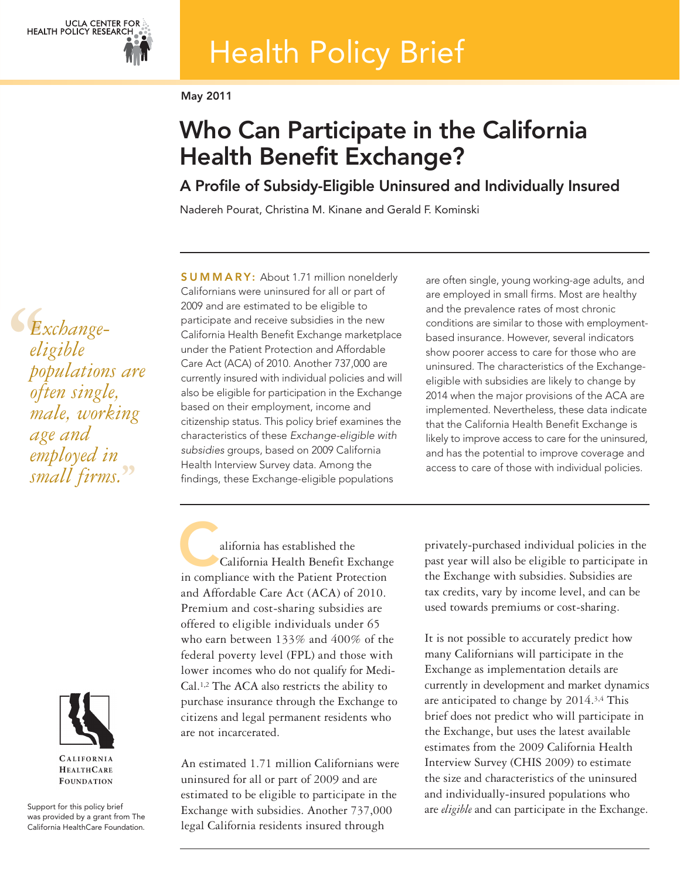# Health Policy Brief

May 2011

## Who Can Participate in the California Health Benefit Exchange?

A Profile of Subsidy-Eligible Uninsured and Individually Insured

Nadereh Pourat, Christina M. Kinane and Gerald F. Kominski

**6**<br> *eli*<br> *po*<br> *ofi Exchangeeligible populations are often single, male, working age and employed in small firms.* **''**

SUMMARY: About 1.71 million nonelderly Californians were uninsured for all or part of 2009 and are estimated to be eligible to participate and receive subsidies in the new California Health Benefit Exchange marketplace under the Patient Protection and Affordable Care Act (ACA) of 2010. Another 737,000 are currently insured with individual policies and will also be eligible for participation in the Exchange based on their employment, income and citizenship status. This policy brief examines the characteristics of these Exchange-eligible with subsidies groups, based on 2009 California Health Interview Survey data. Among the findings, these Exchange-eligible populations

are often single, young working-age adults, and are employed in small firms. Most are healthy and the prevalence rates of most chronic conditions are similar to those with employmentbased insurance. However, several indicators show poorer access to care for those who are uninsured. The characteristics of the Exchangeeligible with subsidies are likely to change by 2014 when the major provisions of the ACA are implemented. Nevertheless, these data indicate that the California Health Benefit Exchange is likely to improve access to care for the uninsured, and has the potential to improve coverage and access to care of those with individual policies.

alifornia has established the California Health Benefit Exchange alifornia has established the<br>California Health Benefit Exchang<br>in compliance with the Patient Protection and Affordable Care Act (ACA) of 2010. Premium and cost-sharing subsidies are offered to eligible individuals under 65 who earn between 133% and 400% of the federal poverty level (FPL) and those with lower incomes who do not qualify for Medi-Cal.1,2 The ACA also restricts the ability to purchase insurance through the Exchange to citizens and legal permanent residents who are not incarcerated.

An estimated 1.71 million Californians were uninsured for all or part of 2009 and are estimated to be eligible to participate in the Exchange with subsidies. Another 737,000 legal California residents insured through

privately-purchased individual policies in the past year will also be eligible to participate in the Exchange with subsidies. Subsidies are tax credits, vary by income level, and can be used towards premiums or cost-sharing.

It is not possible to accurately predict how many Californians will participate in the Exchange as implementation details are currently in development and market dynamics are anticipated to change by 2014.3,4 This brief does not predict who will participate in the Exchange, but uses the latest available estimates from the 2009 California Health Interview Survey (CHIS 2009) to estimate the size and characteristics of the uninsured and individually-insured populations who are *eligible* and can participate in the Exchange.



**HEALTHCARE FOUNDATION** 

Support for this policy brief was provided by a grant from The California HealthCare Foundation.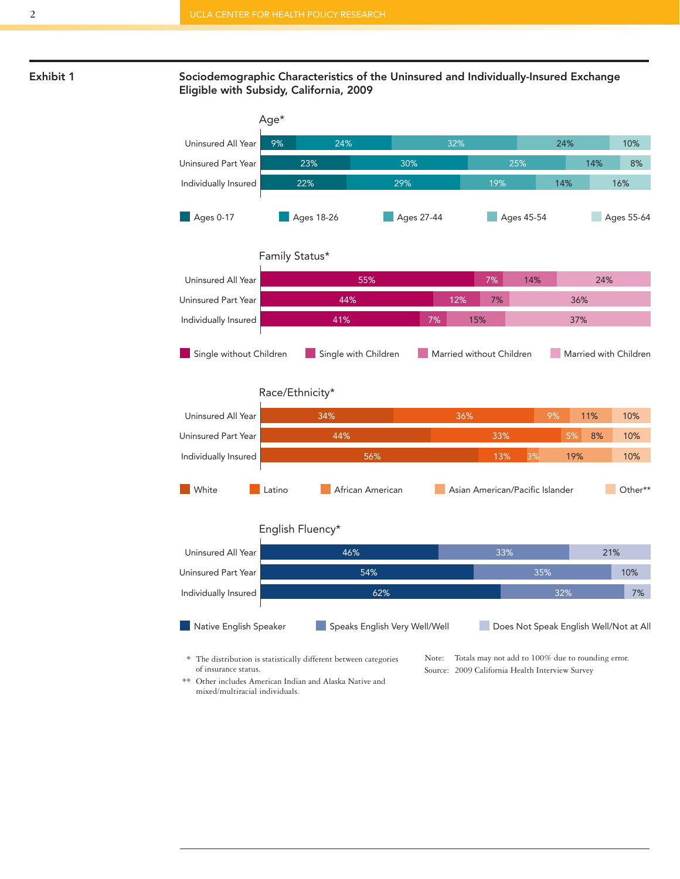

#### **Exhibit 1 Sociodemographic Characteristics of the Uninsured and Individually-Insured Exchange Eligible with Subsidy, California, 2009**



of insurance status.

Note: Totals may not add to 100% due to rounding error. Source: 2009 California Health Interview Survey

\*\* Other includes American Indian and Alaska Native and mixed/multiracial individuals.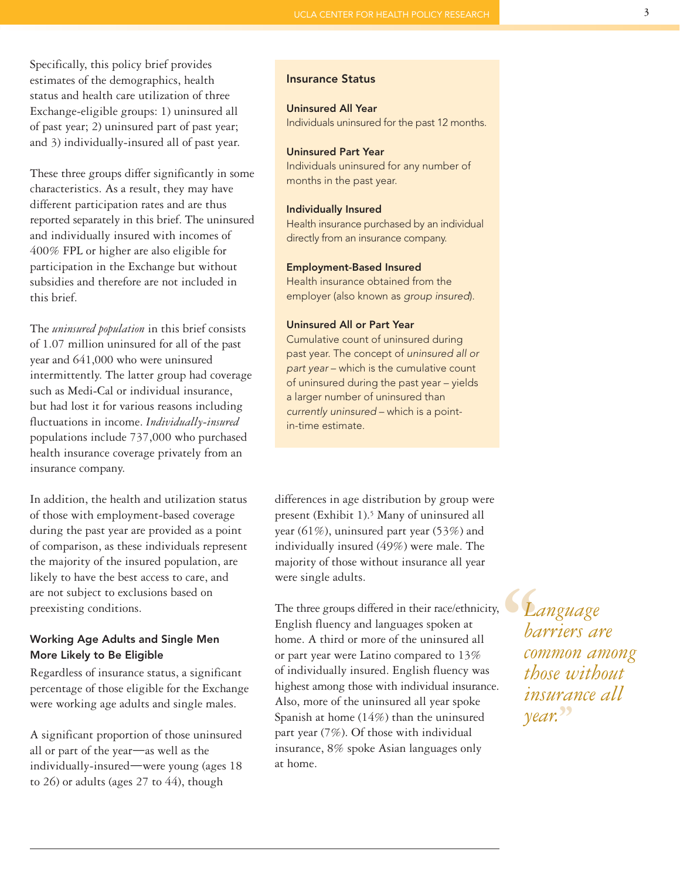Specifically, this policy brief provides estimates of the demographics, health status and health care utilization of three Exchange-eligible groups: 1) uninsured all of past year; 2) uninsured part of past year; and 3) individually-insured all of past year.

These three groups differ significantly in some characteristics. As a result, they may have different participation rates and are thus reported separately in this brief. The uninsured and individually insured with incomes of 400% FPL or higher are also eligible for participation in the Exchange but without subsidies and therefore are not included in this brief.

The *uninsured population* in this brief consists of 1.07 million uninsured for all of the past year and 641,000 who were uninsured intermittently. The latter group had coverage such as Medi-Cal or individual insurance, but had lost it for various reasons including fluctuations in income. *Individually-insured* populations include 737,000 who purchased health insurance coverage privately from an insurance company.

In addition, the health and utilization status of those with employment-based coverage during the past year are provided as a point of comparison, as these individuals represent the majority of the insured population, are likely to have the best access to care, and are not subject to exclusions based on preexisting conditions.

#### Working Age Adults and Single Men More Likely to Be Eligible

Regardless of insurance status, a significant percentage of those eligible for the Exchange were working age adults and single males.

A significant proportion of those uninsured all or part of the year—as well as the individually-insured—were young (ages 18 to 26) or adults (ages 27 to 44), though

#### Insurance Status

### Uninsured All Year

Individuals uninsured for the past 12 months.

#### Uninsured Part Year

Individuals uninsured for any number of months in the past year.

#### Individually Insured

Health insurance purchased by an individual directly from an insurance company.

#### Employment-Based Insured

Health insurance obtained from the employer (also known as group insured).

#### Uninsured All or Part Year

Cumulative count of uninsured during past year. The concept of uninsured all or part year – which is the cumulative count of uninsured during the past year – yields a larger number of uninsured than currently uninsured – which is a pointin-time estimate.

differences in age distribution by group were present (Exhibit 1).<sup>5</sup> Many of uninsured all year (61%), uninsured part year (53%) and individually insured (49%) were male. The majority of those without insurance all year were single adults.

The three groups differed in their race/ethnicity, English fluency and languages spoken at home. A third or more of the uninsured all or part year were Latino compared to 13% of individually insured. English fluency was highest among those with individual insurance. Also, more of the uninsured all year spoke Spanish at home (14%) than the uninsured part year (7%). Of those with individual insurance, 8% spoke Asian languages only at home.

**6**<br> *Le*<br> *ba*<br> *con*<br> *th Language barriers are common among those without insurance all year.* **''**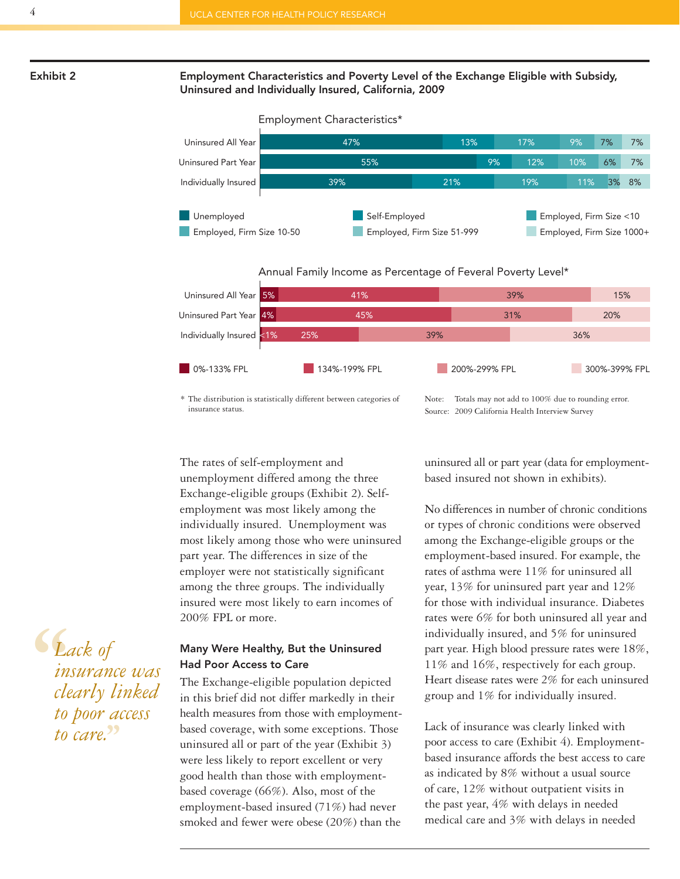#### **Exhibit 2 Employment Characteristics and Poverty Level of the Exchange Eligible with Subsidy, Uninsured and Individually Insured, California, 2009**



Annual Family Income as Percentage of Feveral Poverty Level\*



\* The distribution is statistically different between categories of insurance status.

Note: Totals may not add to 100% due to rounding error. Source: 2009 California Health Interview Survey

The rates of self-employment and unemployment differed among the three Exchange-eligible groups (Exhibit 2). Selfemployment was most likely among the individually insured. Unemployment was most likely among those who were uninsured part year. The differences in size of the employer were not statistically significant among the three groups. The individually insured were most likely to earn incomes of 200% FPL or more.

#### **Many Were Healthy, But the Uninsured Had Poor Access to Care**

The Exchange-eligible population depicted in this brief did not differ markedly in their health measures from those with employmentbased coverage, with some exceptions. Those uninsured all or part of the year (Exhibit 3) were less likely to report excellent or very good health than those with employmentbased coverage (66%). Also, most of the employment-based insured (71%) had never smoked and fewer were obese (20%) than the

uninsured all or part year (data for employmentbased insured not shown in exhibits).

No differences in number of chronic conditions or types of chronic conditions were observed among the Exchange-eligible groups or the employment-based insured. For example, the rates of asthma were 11% for uninsured all year, 13% for uninsured part year and 12% for those with individual insurance. Diabetes rates were 6% for both uninsured all year and individually insured, and 5% for uninsured part year. High blood pressure rates were 18%, 11% and 16%, respectively for each group. Heart disease rates were 2% for each uninsured group and 1% for individually insured.

Lack of insurance was clearly linked with poor access to care (Exhibit 4). Employmentbased insurance affords the best access to care as indicated by 8% without a usual source of care, 12% without outpatient visits in the past year, 4% with delays in needed medical care and 3% with delays in needed

**6**<br> *in*<br> *cle*<br> *to Lack of insurance was clearly linked to poor access to care.* **''**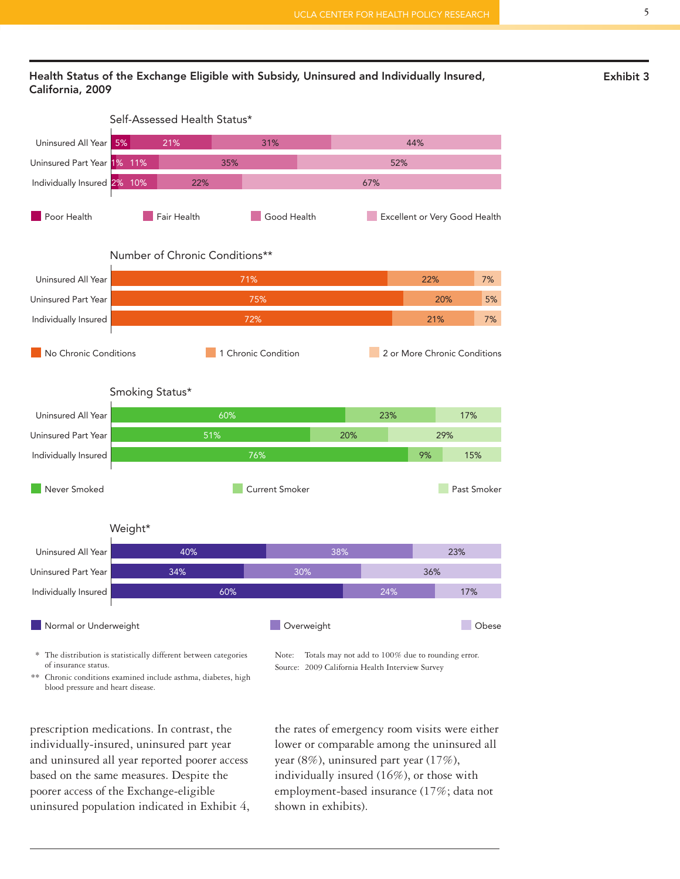#### **Health Status of the Exchange Eligible with Subsidy, Uninsured and Individually Insured, Exhibit 3 California, 2009**



\* The distribution is statistically different between categories of insurance status. \*\* Chronic conditions examined include asthma, diabetes, high

blood pressure and heart disease.

Note: Totals may not add to 100% due to rounding error. Source: 2009 California Health Interview Survey

prescription medications. In contrast, the individually-insured, uninsured part year and uninsured all year reported poorer access based on the same measures. Despite the poorer access of the Exchange-eligible uninsured population indicated in Exhibit 4, the rates of emergency room visits were either lower or comparable among the uninsured all year (8%), uninsured part year (17%), individually insured (16%), or those with employment-based insurance (17%; data not shown in exhibits).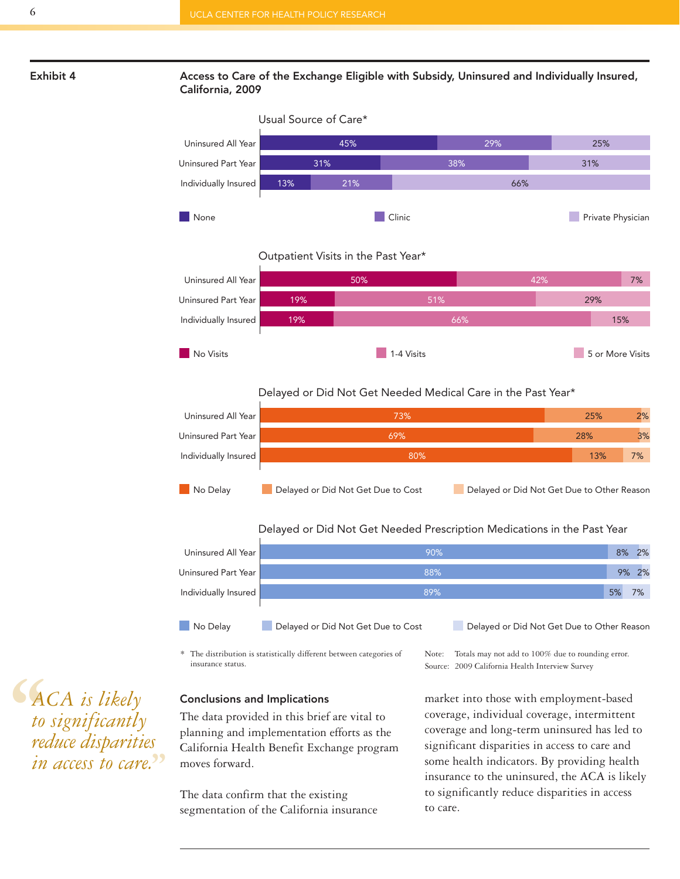#### **Exhibit 4 Access to Care of the Exchange Eligible with Subsidy, Uninsured and Individually Insured, California, 2009**



Outpatient Visits in the Past Year\*



#### Delayed or Did Not Get Needed Medical Care in the Past Year\*



Delayed or Did Not Get Needed Prescription Medications in the Past Year

| Uninsured All Year   | 90%                                |                                            | 8% | 2% |
|----------------------|------------------------------------|--------------------------------------------|----|----|
| Uninsured Part Year  | 88%                                |                                            | 9% | 2% |
| Individually Insured | 89%                                |                                            | 5% | 7% |
| No Delav             | Delayed or Did Not Get Due to Cost | Delayed or Did Not Get Due to Other Reason |    |    |

\* The distribution is statistically different between categories of insurance status.

Note: Totals may not add to 100% due to rounding error. Source: 2009 California Health Interview Survey

#### **Conclusions and Implications**

The data provided in this brief are vital to planning and implementation efforts as the California Health Benefit Exchange program moves forward.

The data confirm that the existing segmentation of the California insurance market into those with employment-based coverage, individual coverage, intermittent coverage and long-term uninsured has led to significant disparities in access to care and some health indicators. By providing health insurance to the uninsured, the ACA is likely to significantly reduce disparities in access to care.

**S**<br> *k*<sub>to</sub><br> *red in ACA is likely to significantly reduce disparities in access to care.* **''**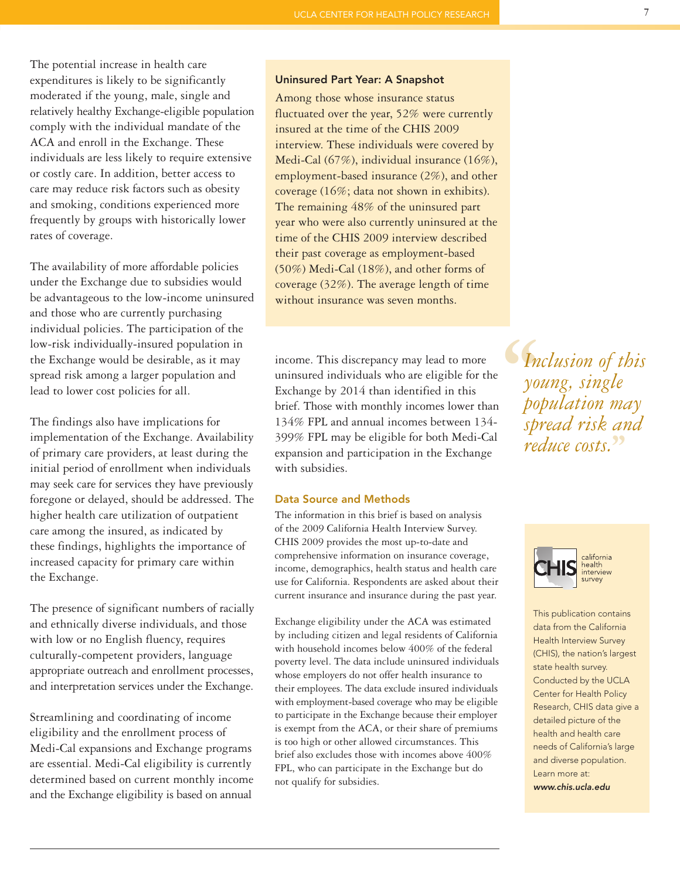The potential increase in health care expenditures is likely to be significantly moderated if the young, male, single and relatively healthy Exchange-eligible population comply with the individual mandate of the ACA and enroll in the Exchange. These individuals are less likely to require extensive or costly care. In addition, better access to care may reduce risk factors such as obesity and smoking, conditions experienced more frequently by groups with historically lower rates of coverage.

The availability of more affordable policies under the Exchange due to subsidies would be advantageous to the low-income uninsured and those who are currently purchasing individual policies. The participation of the low-risk individually-insured population in the Exchange would be desirable, as it may spread risk among a larger population and lead to lower cost policies for all.

The findings also have implications for implementation of the Exchange. Availability of primary care providers, at least during the initial period of enrollment when individuals may seek care for services they have previously foregone or delayed, should be addressed. The higher health care utilization of outpatient care among the insured, as indicated by these findings, highlights the importance of increased capacity for primary care within the Exchange.

The presence of significant numbers of racially and ethnically diverse individuals, and those with low or no English fluency, requires culturally-competent providers, language appropriate outreach and enrollment processes, and interpretation services under the Exchange.

Streamlining and coordinating of income eligibility and the enrollment process of Medi-Cal expansions and Exchange programs are essential. Medi-Cal eligibility is currently determined based on current monthly income and the Exchange eligibility is based on annual

#### **Uninsured Part Year: A Snapshot**

Among those whose insurance status fluctuated over the year, 52% were currently insured at the time of the CHIS 2009 interview. These individuals were covered by Medi-Cal (67%), individual insurance (16%), employment-based insurance (2%), and other coverage (16%; data not shown in exhibits). The remaining 48% of the uninsured part year who were also currently uninsured at the time of the CHIS 2009 interview described their past coverage as employment-based (50%) Medi-Cal (18%), and other forms of coverage (32%). The average length of time without insurance was seven months.

income. This discrepancy may lead to more uninsured individuals who are eligible for the Exchange by 2014 than identified in this brief. Those with monthly incomes lower than 134% FPL and annual incomes between 134- 399% FPL may be eligible for both Medi-Cal expansion and participation in the Exchange with subsidies.

#### **Data Source and Methods**

The information in this brief is based on analysis of the 2009 California Health Interview Survey. CHIS 2009 provides the most up-to-date and comprehensive information on insurance coverage, income, demographics, health status and health care use for California. Respondents are asked about their current insurance and insurance during the past year.

Exchange eligibility under the ACA was estimated by including citizen and legal residents of California with household incomes below 400% of the federal poverty level. The data include uninsured individuals whose employers do not offer health insurance to their employees. The data exclude insured individuals with employment-based coverage who may be eligible to participate in the Exchange because their employer is exempt from the ACA, or their share of premiums is too high or other allowed circumstances. This brief also excludes those with incomes above 400% FPL, who can participate in the Exchange but do not qualify for subsidies.

**S**<br>
In<br>
yo.<br>
po<br>
sp *Inclusion of this young, single population may spread risk and reduce costs.* **''**



This publication contains data from the California Health Interview Survey (CHIS), the nation's largest state health survey. Conducted by the UCLA Center for Health Policy Research, CHIS data give a detailed picture of the health and health care needs of California's large and diverse population. Learn more at: *www.chis.ucla.edu*